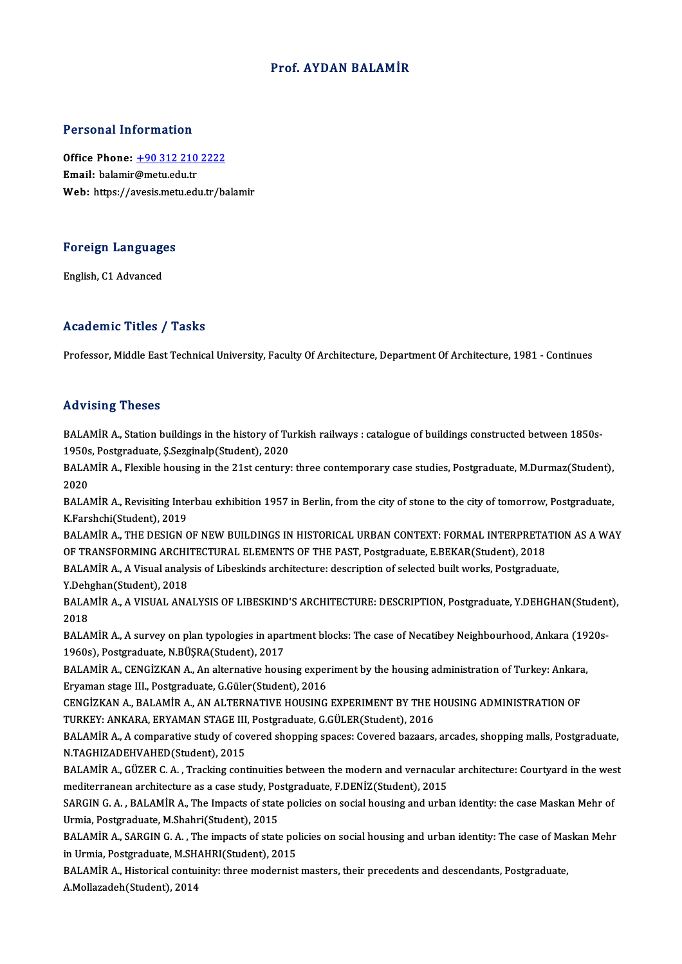### Prof. AYDAN BALAMİR

### Personal Information

Personal Information<br>Office Phone: <u>+90 312 210 2222</u><br>Email: balamir@matu.edu.tr office Phone: <u>+90 312 210</u><br>Email: balamir@metu.edu.tr<br>Web: https://avesis.metu.edu Email: balamir@metu.edu.tr<br>Web: https://a[vesis.metu.edu.tr/b](tel:+90 312 210 2222)alamir

# Foreign Languages <mark>Foreign Language</mark><br>English, C1 Advanced

# English, C1 Advanced<br>Academic Titles / Tasks

Professor, Middle East Technical University, Faculty Of Architecture, Department Of Architecture, 1981 - Continues

### Advising Theses

Advising Theses<br>BALAMİR A., Station buildings in the history of Turkish railways : catalogue of buildings constructed between 1850s-<br>1950s, Restspeduate S Serginalp(Student), 2020 114 JOING 1110505<br>1950s, Postgraduate, Ş.Sezginalp(Student), 2020<br>PALAMİP A, Florible bousing in the 21st contuny BALAMİR A., Station buildings in the history of Turkish railways : catalogue of buildings constructed between 1850s-<br>1950s, Postgraduate, Ş.Sezginalp(Student), 2020<br>BALAMİR A., Flexible housing in the 21st century: three c

1950s<br>BALA<br>2020<br>PALA BALAMİR A., Flexible housing in the 21st century: three contemporary case studies, Postgraduate, M.Durmaz(Student),<br>2020<br>BALAMİR A., Revisiting Interbau exhibition 1957 in Berlin, from the city of stone to the city of tomo

2020<br>BALAMİR A., Revisiting Interbau exhibition 1957 in Berlin, from the city of stone to the city of tomorrow, Postgraduate,<br>K.Farshchi(Student), 2019 BALAMİR A., Revisiting Interbau exhibition 1957 in Berlin, from the city of stone to the city of tomorrow, Postgraduate,<br>K.Farshchi(Student), 2019<br>BALAMİR A., THE DESIGN OF NEW BUILDINGS IN HISTORICAL URBAN CONTEXT: FORMAL

K.Farshchi(Student), 2019<br>BALAMİR A., THE DESIGN OF NEW BUILDINGS IN HISTORICAL URBAN CONTEXT: FORMAL INTERPRETA<br>OF TRANSFORMING ARCHITECTURAL ELEMENTS OF THE PAST, Postgraduate, E.BEKAR(Student), 2018<br>RALAMİR A. A Vieuel BALAMİR A., THE DESIGN OF NEW BUILDINGS IN HISTORICAL URBAN CONTEXT: FORMAL INTERPRETATION OF TRANSFORMING ARCHITECTURAL ELEMENTS OF THE PAST, Postgraduate, E.BEKAR(Student), 2018<br>BALAMİR A., A Visual analysis of Libeskind

OF TRANSFORMING ARCHI<br>BALAMİR A., A Visual analy<br>Y.Dehghan(Student), 2018<br>BALAMİR A. A VISUAL ANA BALAMİR A., A Visual analysis of Libeskinds architecture: description of selected built works, Postgraduate,<br>Y.Dehghan(Student), 2018<br>BALAMİR A., A VISUAL ANALYSIS OF LIBESKIND'S ARCHITECTURE: DESCRIPTION, Postgraduate, Y.

Y.Deh<br>BALA<br>2018<br>PALA BALAMİR A., A VISUAL ANALYSIS OF LIBESKIND'S ARCHITECTURE: DESCRIPTION, Postgraduate, Y.DEHGHAN(Studen<br>2018<br>BALAMİR A., A survey on plan typologies in apartment blocks: The case of Necatibey Neighbourhood, Ankara (1920s-<br>1

2018<br>BALAMİR A., A survey on plan typologies in apartment blocks: The case of Necatibey Neighbourhood, Ankara (1920s<br>1960s), Postgraduate, N.BÜŞRA(Student), 2017 BALAMİR A., A survey on plan typologies in apartment blocks: The case of Necatibey Neighbourhood, Ankara (19<br>1960s), Postgraduate, N.BÜŞRA(Student), 2017<br>BALAMİR A., CENGİZKAN A., An alternative housing experiment by the h

1960s), Postgraduate, N.BÜŞRA(Student), 2017<br>BALAMİR A., CENGİZKAN A., An alternative housing exper<br>Eryaman stage III., Postgraduate, G.Güler(Student), 2016<br>CENGİZKAN A. BALAMİR A. AN ALTERNATIVE HOUSING BALAMİR A., CENGİZKAN A., An alternative housing experiment by the housing administration of Turkey: Ankara<br>Eryaman stage III., Postgraduate, G.Güler(Student), 2016<br>CENGİZKAN A., BALAMİR A., AN ALTERNATIVE HOUSING EXPERIME Eryaman stage III., Postgraduate, G.Güler(Student), 2016<br>CENGİZKAN A., BALAMİR A., AN ALTERNATIVE HOUSING EXPERIMENT BY THE HOUSING ADMINISTRATION OF

TURKEY: ANKARA, ERYAMAN STAGE III, Postgraduate, G.GÜLER(Student), 2016

BALAMİR A., A comparative study of covered shopping spaces: Covered bazaars, arcades, shopping malls, Postgraduate,<br>N.TAGHIZADEHVAHED(Student), 2015 BALAMİR A., A comparative study of covered shopping spaces: Covered bazaars, arcades, shopping malls, Postgraduate,<br>N.TAGHIZADEHVAHED(Student), 2015<br>BALAMİR A., GÜZER C. A. , Tracking continuities between the modern and ve

N.TAGHIZADEHVAHED(Student), 2015<br>BALAMİR A., GÜZER C. A. , Tracking continuities between the modern and vernacula<br>mediterranean architecture as a case study, Postgraduate, F.DENİZ(Student), 2015<br>SARCIN C. A., PALAMİR A., T BALAMİR A., GÜZER C. A. , Tracking continuities between the modern and vernacular architecture: Courtyard in the wes<br>mediterranean architecture as a case study, Postgraduate, F.DENİZ(Student), 2015<br>SARGIN G. A. , BALAMİR A

mediterranean architecture as a case study, Postgraduate, F.DENİZ(Student), 2015<br>SARGIN G. A. , BALAMİR A., The Impacts of state policies on social housing and urban identity: the case Maskan Mehr of<br>Urmia, Postgraduate, M SARGIN G. A. , BALAMİR A., The Impacts of state policies on social housing and urban identity: the case Maskan Mehr of<br>Urmia, Postgraduate, M.Shahri(Student), 2015<br>BALAMİR A., SARGIN G. A. , The impacts of state policies o

Urmia, Postgraduate, M.Shahri(Student), 2015<br>BALAMİR A., SARGIN G. A. , The impacts of state poi<br>in Urmia, Postgraduate, M.SHAHRI(Student), 2015<br>BALAMİR A. Historisel sontuinity, three modernist BALAMİR A., SARGIN G. A. , The impacts of state policies on social housing and urban identity: The case of Mas<br>in Urmia, Postgraduate, M.SHAHRI(Student), 2015<br>BALAMİR A., Historical contuinity: three modernist masters, the

in Urmia, Postgraduate, M.SHAHRI(Student), 2015<br>BALAMİR A., Historical contuinity: three modernist masters, their precedents and descendants, Postgraduate,<br>A.Mollazadeh(Student), 2014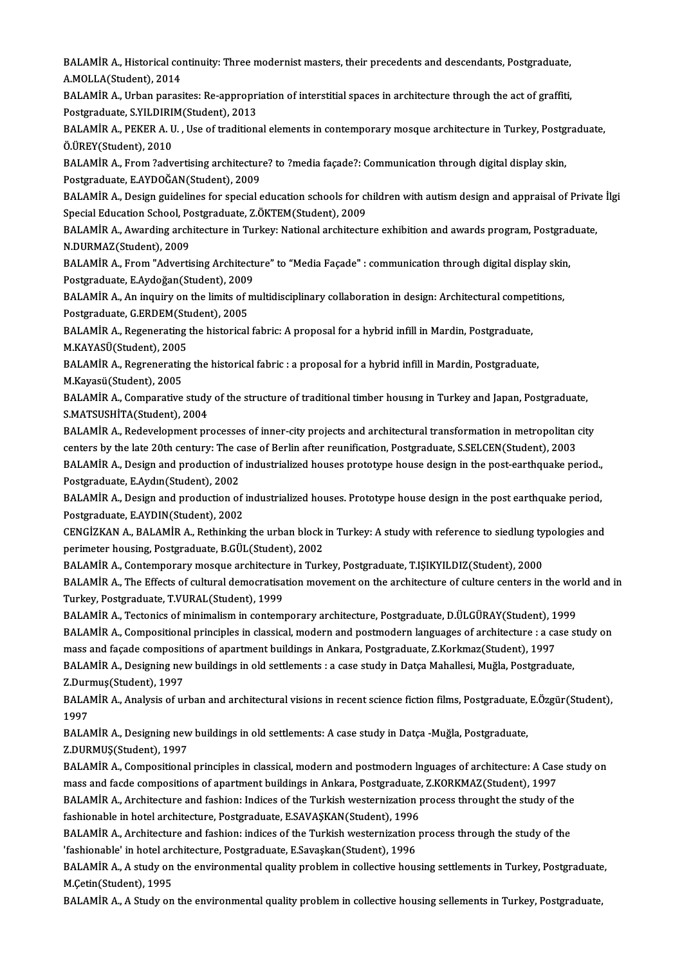BALAMİR A., Historical continuity: Three modernist masters, their precedents and descendants, Postgraduate,<br>A MOLLA(Student), 2014 BALAMİR A., Historical col<br>A.MOLLA(Student), 2014<br>BALAMİR A., Urban parası BALAMİR A., Historical continuity: Three modernist masters, their precedents and descendants, Postgraduate,<br>A.MOLLA(Student), 2014<br>BALAMİR A., Urban parasites: Re-appropriation of interstitial spaces in architecture throug

A.MOLLA(Student), 2014<br>BALAMİR A., Urban parasites: Re-appropri<br>Postgraduate, S.YILDIRIM(Student), 2013<br>BALAMİR A., REKER A. II., Use ef tradition BALAMİR A., Urban parasites: Re-appropriation of interstitial spaces in architecture through the act of graffiti,<br>Postgraduate, S.YILDIRIM(Student), 2013<br>BALAMİR A., PEKER A. U. , Use of traditional elements in contemporar

Postgraduate, S.YILDIRI<br>BALAMİR A., PEKER A. U<br>Ö.ÜREY(Student), 2010<br>BALAMİB A. Erom 20dv BALAMİR A., PEKER A. U. , Use of traditional elements in contemporary mosque architecture in Turkey, Postg<br>Ö.ÜREY(Student), 2010<br>BALAMİR A., From ?advertising architecture? to ?media façade?: Communication through digital

Ö.ÜREY(Student), 2010<br>BALAMİR A., From ?advertising architectur<br>Postgraduate, E.AYDOĞAN(Student), 2009<br>BALAMİR A. Dosign guidelines for special c

Postgraduate, E.AYDOĞAN(Student), 2009<br>BALAMİR A., Design guidelines for special education schools for children with autism design and appraisal of Private İlgi Postgraduate, E.AYDOĞAN(Student), 2009<br>BALAMİR A., Design guidelines for special education schools for cl<br>Special Education School, Postgraduate, Z.ÖKTEM(Student), 2009<br>BALAMİR A. Avrading architecture in Turkey, National

BALAMİR A., Awarding architecture in Turkey: National architecture exhibition and awards program, Postgraduate,<br>N.DURMAZ(Student), 2009 Special Education School, Po<br>BALAMİR A., Awarding arch<br>N.DURMAZ(Student), 2009<br>BALAMİR A., Erom "Adverti BALAMİR A., Awarding architecture in Turkey: National architecture exhibition and awards program, Postgrad<br>N.DURMAZ(Student), 2009<br>BALAMİR A., From "Advertising Architecture" to "Media Façade" : communication through digit

Postgraduate,E.Aydoğan(Student),2009 BALAMİR A., From "Advertising Architecture" to "Media Façade" : communication through digital display skir<br>Postgraduate, E.Aydoğan(Student), 2009<br>BALAMİR A., An inquiry on the limits of multidisciplinary collaboration in d

Postgraduate, E.Aydoğan(Student), 2009<br>BALAMİR A., An inquiry on the limits of r<br>Postgraduate, G.ERDEM(Student), 2005<br>BALAMİR A. Begenensting the historical BALAMİR A., An inquiry on the limits of multidisciplinary collaboration in design: Architectural competitions,<br>Postgraduate, G.ERDEM(Student), 2005<br>BALAMİR A., Regenerating the historical fabric: A proposal for a hybrid in

Postgraduate, G.ERDEM(Student)<br>BALAMİR A., Regenerating<br>M.KAYASÜ(Student), 2005<br>BALAMİR A. Regregensting BALAMİR A., Regenerating the historical fabric: A proposal for a hybrid infill in Mardin, Postgraduate,<br>M.KAYASÜ(Student), 2005<br>BALAMİR A., Regrenerating the historical fabric : a proposal for a hybrid infill in Mardin, Po

M.KAYASÜ(Student), 2005<br>BALAMİR A., Regreneratin<br>M.Kayasü(Student), 2005<br>BALAMİR A. Comporative BALAMİR A., Regrenerating the historical fabric : a proposal for a hybrid infill in Mardin, Postgraduate,<br>M.Kayasü(Student), 2005<br>BALAMİR A., Comparative study of the structure of traditional timber housıng in Turkey and J

M.Kayasü(Student), 2005<br>BALAMİR A., Comparative study<br>S.MATSUSHİTA(Student), 2004<br>BALAMİB A., Bodavalanmant pr BALAMİR A., Comparative study of the structure of traditional timber housing in Turkey and Japan, Postgraduate,<br>S.MATSUSHİTA(Student), 2004<br>BALAMİR A., Redevelopment processes of inner-city projects and architectural trans

S.MATSUSHİTA(Student), 2004<br>BALAMİR A., Redevelopment processes of inner-city projects and architectural transformation in metropolitan (<br>centers by the late 20th century: The case of Berlin after reunification, Postgradua BALAMİR A., Redevelopment processes of inner-city projects and architectural transformation in metropolitan city<br>centers by the late 20th century: The case of Berlin after reunification, Postgraduate, S.SELCEN(Student), 20 centers by the late 20th century: The case of Berlin after reunification, Postgraduate, S.SELCEN(Student), 2003<br>BALAMİR A., Design and production of industrialized houses prototype house design in the post-earthquake pe<br>Po

BALAMİR A., Design and production of industrialized houses prototype house design in the post-earthquake period.,<br>Postgraduate, E.Aydın(Student), 2002<br>BALAMİR A., Design and production of industrialized houses. Prototype h BALAMIR A., Design and production of industrialized houses. Prototype house design in the post earthquake period, BALAMİR A., Design and production of industrialized houses. Prototype house design in the post earthquake period,<br>Postgraduate, E.AYDIN(Student), 2002<br>CENGİZKAN A., BALAMİR A., Rethinking the urban block in Turkey: A study

Postgraduate, E.AYDIN(Student), 2002<br>CENGİZKAN A., BALAMİR A., Rethinking the urban block<br>perimeter housing, Postgraduate, B.GÜL(Student), 2002<br>PALAMİR A. Contemporary mossuve architecture in Turk CENGİZKAN A., BALAMİR A., Rethinking the urban block in Turkey: A study with reference to siedlung ty<br>perimeter housing, Postgraduate, B.GÜL(Student), 2002<br>BALAMİR A., Contemporary mosque architecture in Turkey, Postgradua

perimeter housing, Postgraduate, B.GÜL(Student), 2002<br>BALAMİR A., Contemporary mosque architecture in Turkey, Postgraduate, T.IŞIKYILDIZ(Student), 2000<br>BALAMİR A., The Effects of cultural democratisation movement on the ar BALAMİR A., Contemporary mosque architectur<br>BALAMİR A., The Effects of cultural democratisa<br>Turkey, Postgraduate, T.VURAL(Student), 1999<br>BALAMİR A. Tectonise of minimalism in contemi BALAMİR A., The Effects of cultural democratisation movement on the architecture of culture centers in the wor<br>Turkey, Postgraduate, T.VURAL(Student), 1999<br>BALAMİR A., Tectonics of minimalism in contemporary architecture,

Turkey, Postgraduate, T.VURAL(Student), 1999<br>BALAMİR A., Tectonics of minimalism in contemporary architecture, Postgraduate, D.ÜLGÜRAY(Student), 1999<br>BALAMİR A., Compositional principles in classical, modern and postmodern

BALAMİR A., Tectonics of minimalism in contemporary architecture, Postgraduate, D.ÜLGÜRAY(Student), 1999<br>BALAMİR A., Compositional principles in classical, modern and postmodern languages of architecture : a case s<br>mass an BALAMİR A., Compositional principles in classical, modern and postmodern languages of architecture : a case s<br>mass and façade compositions of apartment buildings in Ankara, Postgraduate, Z.Korkmaz(Student), 1997<br>BALAMİR A.

Z.Durmuş(Student),1997

BALAMİR A., Designing new buildings in old settlements : a case study in Datça Mahallesi, Muğla, Postgraduate,<br>Z.Durmuş(Student), 1997<br>BALAMİR A., Analysis of urban and architectural visions in recent science fiction films 2.Duri<br>BALA<br>1997<br>PALA BALAMİR A., Analysis of urban and architectural visions in recent science fiction films, Postgraduate,<br>1997<br>BALAMİR A., Designing new buildings in old settlements: A case study in Datça -Muğla, Postgraduate,<br>7 DUBMUS(Stude

1997<br>BALAMİR A., Designing new buildings in old settlements: A case study in Datça -Muğla, Postgraduate,<br>Z.DURMUŞ(Student), 1997 BALAMİR A., Designing new buildings in old settlements: A case study in Datça -Muğla, Postgraduate,<br>Z.DURMUŞ(Student), 1997<br>BALAMİR A., Compositional principles in classical, modern and postmodern Inguages of architecture:

Z.DURMUŞ(Student), 1997<br>BALAMİR A., Compositional principles in classical, modern and postmodern Inguages of architecture: A Case<br>mass and facde compositions of apartment buildings in Ankara, Postgraduate, Z.KORKMAZ(Studen BALAMİR A., Compositional principles in classical, modern and postmodern Inguages of architecture: A Case studies<br>mass and facde compositions of apartment buildings in Ankara, Postgraduate, Z.KORKMAZ(Student), 1997<br>BALAMİR

mass and facde compositions of apartment buildings in Ankara, Postgraduate,<br>BALAMİR A., Architecture and fashion: Indices of the Turkish westernization p<br>fashionable in hotel architecture, Postgraduate, E.SAVAŞKAN(Student) BALAMİR A., Architecture and fashion: Indices of the Turkish westernization process throught the study of the<br>fashionable in hotel architecture, Postgraduate, E.SAVAŞKAN(Student), 1996<br>BALAMİR A., Architecture and fashion:

fashionable in hotel architecture, Postgraduate, E.SAVAŞKAN(Student), 1996<br>BALAMİR A., Architecture and fashion: indices of the Turkish westernization<br>'fashionable' in hotel architecture, Postgraduate, E.Savaşkan(Student), BALAMİR A., Architecture and fashion: indices of the Turkish westernization process through the study of the<br>'fashionable' in hotel architecture, Postgraduate, E.Savaşkan(Student), 1996<br>BALAMİR A., A study on the environme

'fashionable' in hotel architecture, Postgraduate, E.Savaşkan(Student), 1996<br>BALAMİR A., A study on the environmental quality problem in collective housing settlements in Turkey, Postgraduate,<br>M.Çetin(Student), 1995

BALAMIR A., A Study on the environmental quality problem in collective housing sellements in Turkey, Postgraduate,